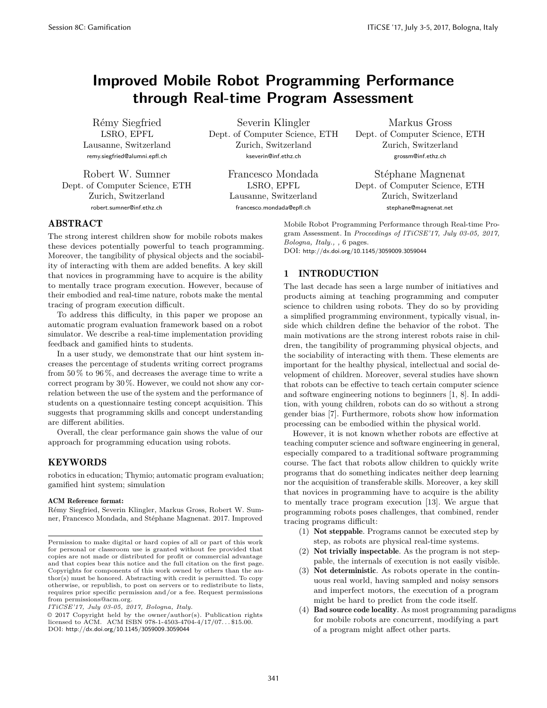# **Improved Mobile Robot Programming Performance through Real-time Program Assessment**

Severin Klingler Dept. of Computer Science, ETH Zurich, Switzerland

Rémy Siegfried LSRO, EPFL Lausanne, Switzerland remy.siegfried@alumni.epfl.ch

Robert W. Sumner Dept. of Computer Science, ETH Zurich, Switzerland robert.sumner@inf.ethz.ch

kseverin@inf.ethz.ch Francesco Mondada

LSRO, EPFL Lausanne, Switzerland francesco.mondada@epfl.ch

Markus Gross Dept. of Computer Science, ETH Zurich, Switzerland grossm@inf.ethz.ch

Stéphane Magnenat Dept. of Computer Science, ETH Zurich, Switzerland stephane@magnenat.net

Mobile Robot Programming Performance through Real-time Program Assessment. In *Proceedings of ITiCSE'17, July 03-05, 2017, Bologna, Italy., ,* [6](#page-5-0) pages.

DOI: http://dx.doi.org/10.1145/3059009.3059044

## 1 INTRODUCTION

The last decade has seen a large number of initiatives and products aiming at teaching programming and computer science to children using robots. They do so by providing a simplified programming environment, typically visual, inside which children define the behavior of the robot. The main motivations are the strong interest robots raise in children, the tangibility of programming physical objects, and the sociability of interacting with them. These elements are important for the healthy physical, intellectual and social development of children. Moreover, several studies have shown that robots can be effective to teach certain computer science and software engineering notions to beginners [\[1,](#page-5-1) [8\]](#page-5-2). In addition, with young children, robots can do so without a strong gender bias [\[7\]](#page-5-3). Furthermore, robots show how information processing can be embodied within the physical world.

However, it is not known whether robots are effective at teaching computer science and software engineering in general, especially compared to a traditional software programming course. The fact that robots allow children to quickly write programs that do something indicates neither deep learning nor the acquisition of transferable skills. Moreover, a key skill that novices in programming have to acquire is the ability to mentally trace program execution [\[13\]](#page-5-4). We argue that programming robots poses challenges, that combined, render tracing programs difficult:

- (1) Not steppable. Programs cannot be executed step by step, as robots are physical real-time systems.
- (2) Not trivially inspectable. As the program is not steppable, the internals of execution is not easily visible.
- (3) Not deterministic. As robots operate in the continuous real world, having sampled and noisy sensors and imperfect motors, the execution of a program might be hard to predict from the code itself.
- (4) Bad source code locality. As most programming paradigms for mobile robots are concurrent, modifying a part of a program might affect other parts.

## ABSTRACT

The strong interest children show for mobile robots makes these devices potentially powerful to teach programming. Moreover, the tangibility of physical objects and the sociability of interacting with them are added benefits. A key skill that novices in programming have to acquire is the ability to mentally trace program execution. However, because of their embodied and real-time nature, robots make the mental tracing of program execution difficult.

To address this difficulty, in this paper we propose an automatic program evaluation framework based on a robot simulator. We describe a real-time implementation providing feedback and gamified hints to students.

In a user study, we demonstrate that our hint system increases the percentage of students writing correct programs from 50 % to 96 %, and decreases the average time to write a correct program by 30 %. However, we could not show any correlation between the use of the system and the performance of students on a questionnaire testing concept acquisition. This suggests that programming skills and concept understanding are different abilities.

Overall, the clear performance gain shows the value of our approach for programming education using robots.

## KEYWORDS

robotics in education; Thymio; automatic program evaluation; gamified hint system; simulation

#### ACM Reference format:

Rémy Siegfried, Severin Klingler, Markus Gross, Robert W. Sumner, Francesco Mondada, and Stéphane Magnenat. 2017. Improved

Permission to make digital or hard copies of all or part of this work for personal or classroom use is granted without fee provided that copies are not made or distributed for profit or commercial advantage and that copies bear this notice and the full citation on the first page. Copyrights for components of this work owned by others than the author(s) must be honored. Abstracting with credit is permitted. To copy otherwise, or republish, to post on servers or to redistribute to lists, requires prior specific permission and/or a fee. Request permissions from permissions@acm.org.

*ITiCSE'17, July 03-05, 2017, Bologna, Italy.*

<sup>©</sup> 2017 Copyright held by the owner/author(s). Publication rights licensed to ACM. ACM ISBN 978-1-4503-4704-4/17/07... \$15.00. DOI: http://dx.doi.org/10.1145/3059009.3059044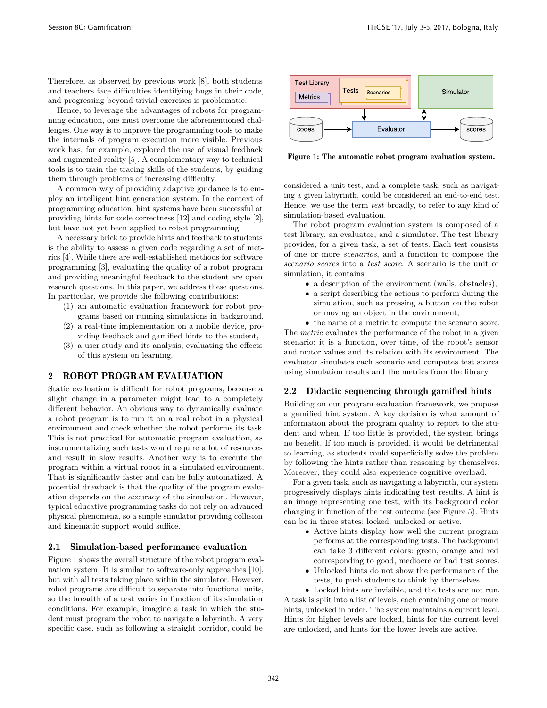Therefore, as observed by previous work [\[8\]](#page-5-2), both students and teachers face difficulties identifying bugs in their code, and progressing beyond trivial exercises is problematic.

Hence, to leverage the advantages of robots for programming education, one must overcome the aforementioned challenges. One way is to improve the programming tools to make the internals of program execution more visible. Previous work has, for example, explored the use of visual feedback and augmented reality [\[5\]](#page-5-5). A complementary way to technical tools is to train the tracing skills of the students, by guiding them through problems of increasing difficulty.

A common way of providing adaptive guidance is to employ an intelligent hint generation system. In the context of programming education, hint systems have been successful at providing hints for code correctness [\[12\]](#page-5-6) and coding style [\[2\]](#page-5-7), but have not yet been applied to robot programming.

A necessary brick to provide hints and feedback to students is the ability to assess a given code regarding a set of metrics [\[4\]](#page-5-8). While there are well-established methods for software programming [\[3\]](#page-5-9), evaluating the quality of a robot program and providing meaningful feedback to the student are open research questions. In this paper, we address these questions. In particular, we provide the following contributions:

- (1) an automatic evaluation framework for robot programs based on running simulations in background,
- (2) a real-time implementation on a mobile device, providing feedback and gamified hints to the student,
- (3) a user study and its analysis, evaluating the effects of this system on learning.

## 2 ROBOT PROGRAM EVALUATION

Static evaluation is difficult for robot programs, because a slight change in a parameter might lead to a completely different behavior. An obvious way to dynamically evaluate a robot program is to run it on a real robot in a physical environment and check whether the robot performs its task. This is not practical for automatic program evaluation, as instrumentalizing such tests would require a lot of resources and result in slow results. Another way is to execute the program within a virtual robot in a simulated environment. That is significantly faster and can be fully automatized. A potential drawback is that the quality of the program evaluation depends on the accuracy of the simulation. However, typical educative programming tasks do not rely on advanced physical phenomena, so a simple simulator providing collision and kinematic support would suffice.

#### 2.1 Simulation-based performance evaluation

Figure [1](#page-1-0) shows the overall structure of the robot program evaluation system. It is similar to software-only approaches [\[10\]](#page-5-10), but with all tests taking place within the simulator. However, robot programs are difficult to separate into functional units, so the breadth of a test varies in function of its simulation conditions. For example, imagine a task in which the student must program the robot to navigate a labyrinth. A very specific case, such as following a straight corridor, could be

<span id="page-1-0"></span>

Figure 1: The automatic robot program evaluation system.

considered a unit test, and a complete task, such as navigating a given labyrinth, could be considered an end-to-end test. Hence, we use the term *test* broadly, to refer to any kind of simulation-based evaluation.

The robot program evaluation system is composed of a test library, an evaluator, and a simulator. The test library provides, for a given task, a set of tests. Each test consists of one or more *scenarios*, and a function to compose the *scenario scores* into a *test score*. A scenario is the unit of simulation, it contains

- a description of the environment (walls, obstacles),
- a script describing the actions to perform during the simulation, such as pressing a button on the robot or moving an object in the environment,

• the name of a metric to compute the scenario score. The *metric* evaluates the performance of the robot in a given scenario; it is a function, over time, of the robot's sensor and motor values and its relation with its environment. The evaluator simulates each scenario and computes test scores using simulation results and the metrics from the library.

## 2.2 Didactic sequencing through gamified hints

Building on our program evaluation framework, we propose a gamified hint system. A key decision is what amount of information about the program quality to report to the student and when. If too little is provided, the system brings no benefit. If too much is provided, it would be detrimental to learning, as students could superficially solve the problem by following the hints rather than reasoning by themselves. Moreover, they could also experience cognitive overload.

For a given task, such as navigating a labyrinth, our system progressively displays hints indicating test results. A hint is an image representing one test, with its background color changing in function of the test outcome (see Figure [5\)](#page-4-0). Hints can be in three states: locked, unlocked or active.

- Active hints display how well the current program performs at the corresponding tests. The background can take 3 different colors: green, orange and red corresponding to good, mediocre or bad test scores.
- Unlocked hints do not show the performance of the tests, to push students to think by themselves.

• Locked hints are invisible, and the tests are not run. A task is split into a list of levels, each containing one or more hints, unlocked in order. The system maintains a current level. Hints for higher levels are locked, hints for the current level are unlocked, and hints for the lower levels are active.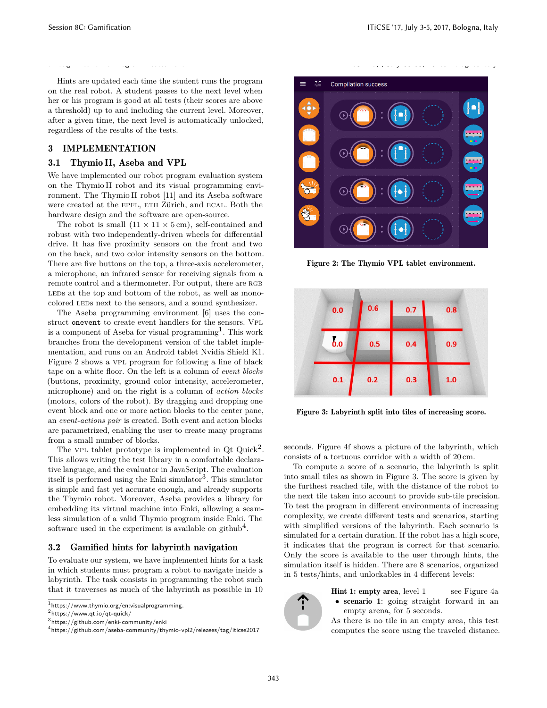Hints are updated each time the student runs the program on the real robot. A student passes to the next level when her or his program is good at all tests (their scores are above a threshold) up to and including the current level. Moreover, after a given time, the next level is automatically unlocked, regardless of the results of the tests.

## 3 IMPLEMENTATION

#### 3.1 Thymio II, Aseba and VPL

We have implemented our robot program evaluation system on the Thymio II robot and its visual programming environment. The Thymio II robot [\[11\]](#page-5-11) and its Aseba software were created at the EPFL, ETH Zürich, and ECAL. Both the hardware design and the software are open-source.

The robot is small  $(11 \times 11 \times 5 \text{ cm})$ , self-contained and robust with two independently-driven wheels for differential drive. It has five proximity sensors on the front and two on the back, and two color intensity sensors on the bottom. There are five buttons on the top, a three-axis accelerometer, a microphone, an infrared sensor for receiving signals from a remote control and a thermometer. For output, there are RGB LEDs at the top and bottom of the robot, as well as monocolored LEDs next to the sensors, and a sound synthesizer.

The Aseba programming environment [\[6\]](#page-5-12) uses the construct onevent to create event handlers for the sensors. Vpl is a component of Aseba for visual programming<sup>[1](#page-2-0)</sup>. This work branches from the development version of the tablet implementation, and runs on an Android tablet Nvidia Shield K1. Figure [2](#page-2-1) shows a vpl program for following a line of black tape on a white floor. On the left is a column of *event blocks* (buttons, proximity, ground color intensity, accelerometer, microphone) and on the right is a column of *action blocks* (motors, colors of the robot). By dragging and dropping one event block and one or more action blocks to the center pane, an *event-actions pair* is created. Both event and action blocks are parametrized, enabling the user to create many programs from a small number of blocks.

The VPL tablet prototype is implemented in Qt Quick<sup>[2](#page-2-2)</sup>. This allows writing the test library in a comfortable declarative language, and the evaluator in JavaScript. The evaluation itself is performed using the Enki simulator<sup>[3](#page-2-3)</sup>. This simulator is simple and fast yet accurate enough, and already supports the Thymio robot. Moreover, Aseba provides a library for embedding its virtual machine into Enki, allowing a seamless simulation of a valid Thymio program inside Enki. The software used in the experiment is available on github<sup>[4](#page-2-4)</sup>.

#### 3.2 Gamified hints for labyrinth navigation

To evaluate our system, we have implemented hints for a task in which students must program a robot to navigate inside a labyrinth. The task consists in programming the robot such that it traverses as much of the labyrinth as possible in 10



Figure 2: The Thymio VPL tablet environment.

<span id="page-2-5"></span><span id="page-2-1"></span>

Figure 3: Labyrinth split into tiles of increasing score.

seconds. Figure [4f](#page-4-1) shows a picture of the labyrinth, which consists of a tortuous corridor with a width of 20 cm.

To compute a score of a scenario, the labyrinth is split into small tiles as shown in Figure [3.](#page-2-5) The score is given by the furthest reached tile, with the distance of the robot to the next tile taken into account to provide sub-tile precision. To test the program in different environments of increasing complexity, we create different tests and scenarios, starting with simplified versions of the labyrinth. Each scenario is simulated for a certain duration. If the robot has a high score, it indicates that the program is correct for that scenario. Only the score is available to the user through hints, the simulation itself is hidden. There are 8 scenarios, organized in 5 tests/hints, and unlockables in 4 different levels:



**Hint 1: empty area, level 1** see Figure [4a](#page-4-1) • scenario 1: going straight forward in an empty arena, for 5 seconds.

As there is no tile in an empty area, this test computes the score using the traveled distance.

<span id="page-2-0"></span> $1$ <https://www.thymio.org/en:visualprogramming>.

<span id="page-2-2"></span> $^{2}$ <https://www.qt.io/qt-quick/>

<span id="page-2-3"></span><sup>3</sup> <https://github.com/enki-community/enki>

<span id="page-2-4"></span><sup>4</sup> <https://github.com/aseba-community/thymio-vpl2/releases/tag/iticse2017>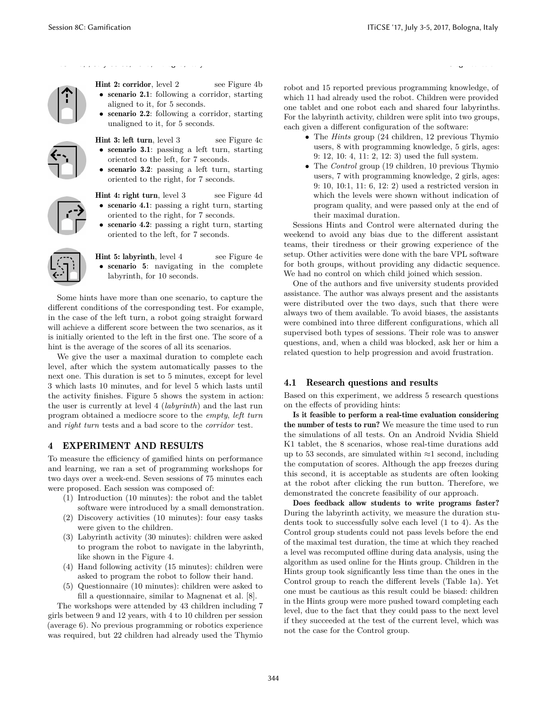**Hint 2: corridor**, level 2 see Figure [4b](#page-4-1) • scenario 2.1: following a corridor, starting

aligned to it, for 5 seconds. scenario 2.2: following a corridor, starting unaligned to it, for 5 seconds.

ITICSE'17, , July 03-05, 2017, Bologna, Italy. R. Siegfried et al., Siegfried et al., Siegfried et al., Siegfr<br>Italian et al., Siegfried et al., Siegfried et al., Siegfried et al., Siegfried et al., Siegfried et al., Sieg

**Hint 3: left turn, level 3** see Figure [4c](#page-4-1)

- scenario 3.1: passing a left turn, starting oriented to the left, for 7 seconds.
- scenario 3.2: passing a left turn, starting oriented to the right, for 7 seconds.

Hint 4: right turn, level 3 see Figure [4d](#page-4-1) • scenario 4.1: passing a right turn, starting

- oriented to the right, for 7 seconds.
- scenario 4.2: passing a right turn, starting oriented to the left, for 7 seconds.

**Hint 5: labyrinth**, level 4 see Figure [4e](#page-4-1) • scenario 5: navigating in the complete labyrinth, for 10 seconds.

Some hints have more than one scenario, to capture the different conditions of the corresponding test. For example, in the case of the left turn, a robot going straight forward will achieve a different score between the two scenarios, as it is initially oriented to the left in the first one. The score of a hint is the average of the scores of all its scenarios.

We give the user a maximal duration to complete each level, after which the system automatically passes to the next one. This duration is set to 5 minutes, except for level 3 which lasts 10 minutes, and for level 5 which lasts until the activity finishes. Figure [5](#page-4-0) shows the system in action: the user is currently at level 4 (*labyrinth*) and the last run program obtained a mediocre score to the *empty*, *left turn* and *right turn* tests and a bad score to the *corridor* test.

## 4 EXPERIMENT AND RESULTS

To measure the efficiency of gamified hints on performance and learning, we ran a set of programming workshops for two days over a week-end. Seven sessions of 75 minutes each were proposed. Each session was composed of:

- (1) Introduction (10 minutes): the robot and the tablet software were introduced by a small demonstration.
- (2) Discovery activities (10 minutes): four easy tasks were given to the children.
- (3) Labyrinth activity (30 minutes): children were asked to program the robot to navigate in the labyrinth, like shown in the Figure [4.](#page-4-1)
- (4) Hand following activity (15 minutes): children were asked to program the robot to follow their hand.
- (5) Questionnaire (10 minutes): children were asked to fill a questionnaire, similar to Magnenat et al. [\[8\]](#page-5-2).

The workshops were attended by 43 children including 7 girls between 9 and 12 years, with 4 to 10 children per session (average 6). No previous programming or robotics experience was required, but 22 children had already used the Thymio robot and 15 reported previous programming knowledge, of which 11 had already used the robot. Children were provided one tablet and one robot each and shared four labyrinths. For the labyrinth activity, children were split into two groups, each given a different configuration of the software:

- The *Hints* group (24 children, 12 previous Thymio users, 8 with programming knowledge, 5 girls, ages: 9: 12, 10: 4, 11: 2, 12: 3) used the full system.
- The *Control* group (19 children, 10 previous Thymio users, 7 with programming knowledge, 2 girls, ages: 9: 10, 10:1, 11: 6, 12: 2) used a restricted version in which the levels were shown without indication of program quality, and were passed only at the end of their maximal duration.

Sessions Hints and Control were alternated during the weekend to avoid any bias due to the different assistant teams, their tiredness or their growing experience of the setup. Other activities were done with the bare VPL software for both groups, without providing any didactic sequence. We had no control on which child joined which session.

One of the authors and five university students provided assistance. The author was always present and the assistants were distributed over the two days, such that there were always two of them available. To avoid biases, the assistants were combined into three different configurations, which all supervised both types of sessions. Their role was to answer questions, and, when a child was blocked, ask her or him a related question to help progression and avoid frustration.

## 4.1 Research questions and results

Based on this experiment, we address 5 research questions on the effects of providing hints:

Is it feasible to perform a real-time evaluation considering the number of tests to run? We measure the time used to run the simulations of all tests. On an Android Nvidia Shield K1 tablet, the 8 scenarios, whose real-time durations add up to 53 seconds, are simulated within  $\approx$ 1 second, including the computation of scores. Although the app freezes during this second, it is acceptable as students are often looking at the robot after clicking the run button. Therefore, we demonstrated the concrete feasibility of our approach.

Does feedback allow students to write programs faster? During the labyrinth activity, we measure the duration students took to successfully solve each level (1 to 4). As the Control group students could not pass levels before the end of the maximal test duration, the time at which they reached a level was recomputed offline during data analysis, using the algorithm as used online for the Hints group. Children in the Hints group took significantly less time than the ones in the Control group to reach the different levels (Table [1a](#page-4-2)). Yet one must be cautious as this result could be biased: children in the Hints group were more pushed toward completing each level, due to the fact that they could pass to the next level if they succeeded at the test of the current level, which was not the case for the Control group.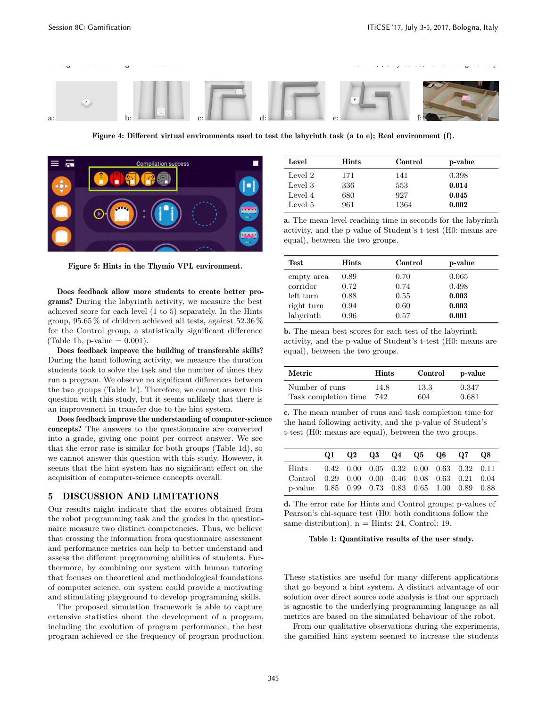<span id="page-4-1"></span>

through Real-time Program Assessment ITiCSE'17, July 03-05, 2017, July 03-05, 2017, Bologna, Italy.<br>The Program Assessment Italy. July 03-05, 2017, Bologna, Italy. Italy. Italy. Italy. Italy. Italy. Italy. Ital

Figure 4: Different virtual environments used to test the labyrinth task (a to e); Real environment (f).

<span id="page-4-0"></span>

Figure 5: Hints in the Thymio VPL environment.

Does feedback allow more students to create better programs? During the labyrinth activity, we measure the best achieved score for each level (1 to 5) separately. In the Hints group, 95.65 % of children achieved all tests, against 52.36 % for the Control group, a statistically significant difference (Table [1b](#page-4-2), p-value  $= 0.001$ ).

Does feedback improve the building of transferable skills? During the hand following activity, we measure the duration students took to solve the task and the number of times they run a program. We observe no significant differences between the two groups (Table [1c](#page-4-2)). Therefore, we cannot answer this question with this study, but it seems unlikely that there is an improvement in transfer due to the hint system.

Does feedback improve the understanding of computer-science concepts? The answers to the questionnaire are converted into a grade, giving one point per correct answer. We see that the error rate is similar for both groups (Table [1d](#page-4-2)), so we cannot answer this question with this study. However, it seems that the hint system has no significant effect on the acquisition of computer-science concepts overall.

## 5 DISCUSSION AND LIMITATIONS

Our results might indicate that the scores obtained from the robot programming task and the grades in the questionnaire measure two distinct competencies. Thus, we believe that crossing the information from questionnaire assessment and performance metrics can help to better understand and assess the different programming abilities of students. Furthermore, by combining our system with human tutoring that focuses on theoretical and methodological foundations of computer science, our system could provide a motivating and stimulating playground to develop programming skills.

The proposed simulation framework is able to capture extensive statistics about the development of a program, including the evolution of program performance, the best program achieved or the frequency of program production.

<span id="page-4-2"></span>

| Level   | <b>Hints</b> | Control | p-value |
|---------|--------------|---------|---------|
| Level 2 | 171          | 141     | 0.398   |
| Level 3 | 336          | 553     | 0.014   |
| Level 4 | 680          | 927     | 0.045   |
| Level 5 | 961          | 1364    | 0.002   |

a. The mean level reaching time in seconds for the labyrinth activity, and the p-value of Student's t-test (H0: means are equal), between the two groups.

| Test       | <b>Hints</b> | Control | p-value |  |
|------------|--------------|---------|---------|--|
| empty area | 0.89         | 0.70    | 0.065   |  |
| corridor   | 0.72         | 0.74    | 0.498   |  |
| left turn  | 0.88         | 0.55    | 0.003   |  |
| right turn | 0.94         | 0.60    | 0.003   |  |
| labyrinth  | 0.96         | 0.57    | 0.001   |  |

b. The mean best scores for each test of the labyrinth activity, and the p-value of Student's t-test (H0: means are equal), between the two groups.

| <b>Metric</b>        | <b>Hints</b> | Control | p-value |
|----------------------|--------------|---------|---------|
| Number of runs       | 14.8         | 13.3    | 0.347   |
| Task completion time | 742          | 604     | 0.681   |

c. The mean number of runs and task completion time for the hand following activity, and the p-value of Student's t-test (H0: means are equal), between the two groups.

|                                                 | $\omega$ 1 | $Q2 \tQ3 \tQ4 \tQ5 \tQ6 \tQ7 \tQ8$ |  |  |  |
|-------------------------------------------------|------------|------------------------------------|--|--|--|
| Hints 0.42 0.00 0.05 0.32 0.00 0.63 0.32 0.11   |            |                                    |  |  |  |
| Control 0.29 0.00 0.00 0.46 0.08 0.63 0.21 0.04 |            |                                    |  |  |  |
| p-value 0.85 0.99 0.73 0.83 0.65 1.00 0.89 0.88 |            |                                    |  |  |  |

d. The error rate for Hints and Control groups; p-values of Pearson's chi-square test (H0: both conditions follow the same distribution).  $n =$  Hints: 24, Control: 19.

#### Table 1: Quantitative results of the user study.

These statistics are useful for many different applications that go beyond a hint system. A distinct advantage of our solution over direct source code analysis is that our approach is agnostic to the underlying programming language as all metrics are based on the simulated behaviour of the robot.

From our qualitative observations during the experiments, the gamified hint system seemed to increase the students